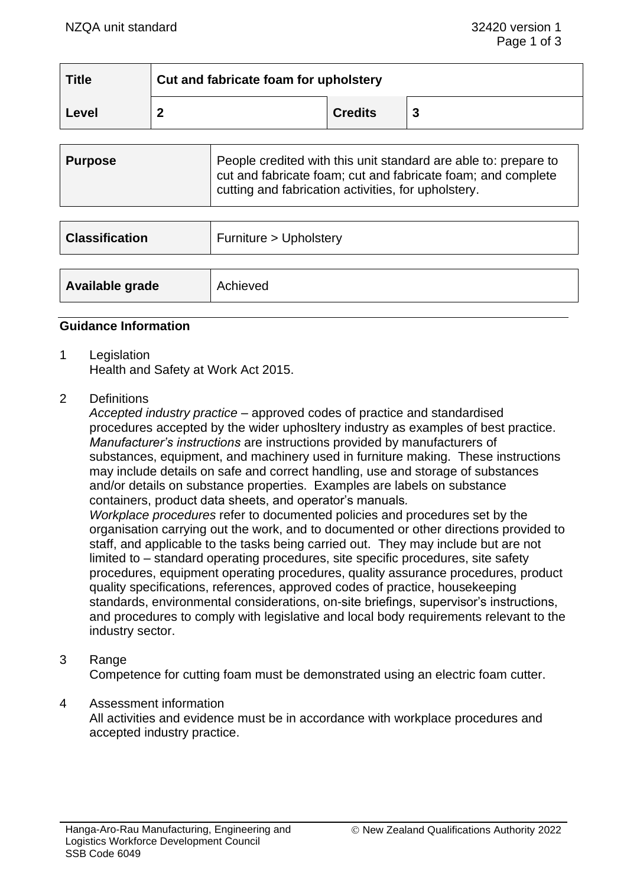| $\mid$ Title | Cut and fabricate foam for upholstery |                |  |
|--------------|---------------------------------------|----------------|--|
| Level        | ົ                                     | <b>Credits</b> |  |

| <b>Purpose</b> | People credited with this unit standard are able to: prepare to<br>cut and fabricate foam; cut and fabricate foam; and complete<br>cutting and fabrication activities, for upholstery. |
|----------------|----------------------------------------------------------------------------------------------------------------------------------------------------------------------------------------|
|                |                                                                                                                                                                                        |

| <b>Classification</b> | Furniture > Upholstery |
|-----------------------|------------------------|
| Available grade       | Achieved               |
|                       |                        |

#### **Guidance Information**

- 1 Legislation Health and Safety at Work Act 2015.
- 2 Definitions

*Accepted industry practice* – approved codes of practice and standardised procedures accepted by the wider uphosltery industry as examples of best practice. *Manufacturer's instructions* are instructions provided by manufacturers of substances, equipment, and machinery used in furniture making. These instructions may include details on safe and correct handling, use and storage of substances and/or details on substance properties. Examples are labels on substance containers, product data sheets, and operator's manuals*.*

*Workplace procedures* refer to documented policies and procedures set by the organisation carrying out the work, and to documented or other directions provided to staff, and applicable to the tasks being carried out. They may include but are not limited to – standard operating procedures, site specific procedures, site safety procedures, equipment operating procedures, quality assurance procedures, product quality specifications, references, approved codes of practice, housekeeping standards, environmental considerations, on-site briefings, supervisor's instructions, and procedures to comply with legislative and local body requirements relevant to the industry sector.

### 3 Range

Competence for cutting foam must be demonstrated using an electric foam cutter.

### 4 Assessment information

All activities and evidence must be in accordance with workplace procedures and accepted industry practice.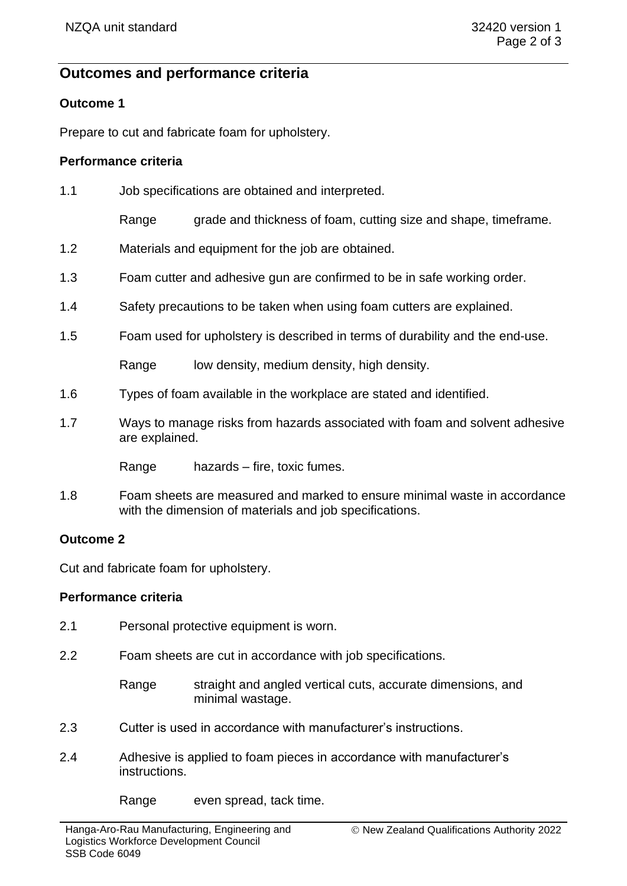# **Outcomes and performance criteria**

## **Outcome 1**

Prepare to cut and fabricate foam for upholstery.

## **Performance criteria**

| 1.1 | Job specifications are obtained and interpreted.                                              |                                                                     |  |
|-----|-----------------------------------------------------------------------------------------------|---------------------------------------------------------------------|--|
|     | Range                                                                                         | grade and thickness of foam, cutting size and shape, timeframe.     |  |
| 1.2 |                                                                                               | Materials and equipment for the job are obtained.                   |  |
| 1.3 | Foam cutter and adhesive gun are confirmed to be in safe working order.                       |                                                                     |  |
| 1.4 | Safety precautions to be taken when using foam cutters are explained.                         |                                                                     |  |
| 1.5 | Foam used for upholstery is described in terms of durability and the end-use.                 |                                                                     |  |
|     | Range                                                                                         | low density, medium density, high density.                          |  |
| 1.6 |                                                                                               | Types of foam available in the workplace are stated and identified. |  |
| 1.7 | Ways to manage risks from hazards associated with foam and solvent adhesive<br>are explained. |                                                                     |  |
|     | Range                                                                                         | hazards – fire, toxic fumes.                                        |  |
|     |                                                                                               |                                                                     |  |

1.8 Foam sheets are measured and marked to ensure minimal waste in accordance with the dimension of materials and job specifications.

### **Outcome 2**

Cut and fabricate foam for upholstery.

## **Performance criteria**

| 2.1 |  | Personal protective equipment is worn. |  |
|-----|--|----------------------------------------|--|
|-----|--|----------------------------------------|--|

2.2 Foam sheets are cut in accordance with job specifications.

Range straight and angled vertical cuts, accurate dimensions, and minimal wastage.

- 2.3 Cutter is used in accordance with manufacturer's instructions.
- 2.4 Adhesive is applied to foam pieces in accordance with manufacturer's instructions.

Range even spread, tack time.